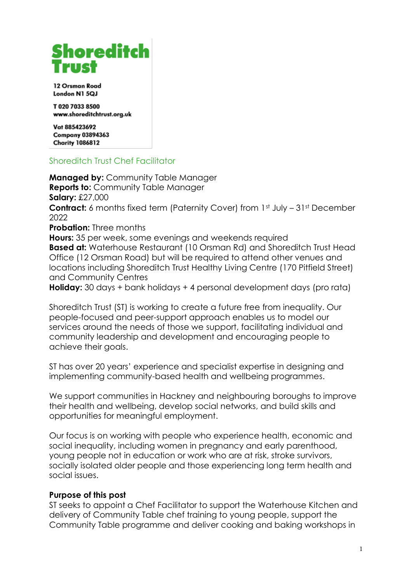# **Shoreditch**

12 Orsman Road London N1 5QJ

T020 7033 8500 www.shoreditchtrust.org.uk

Vat 885423692 **Company 03894363 Charity 1086812** 

## Shoreditch Trust Chef Facilitator

**Managed by:** Community Table Manager **Reports to:** Community Table Manager **Salary:** £27,000 **Contract:** 6 months fixed term (Paternity Cover) from 1st July – 31st December 2022 **Probation:** Three months **Hours:** 35 per week, some evenings and weekends required **Based at:** Waterhouse Restaurant (10 Orsman Rd) and Shoreditch Trust Head Office (12 Orsman Road) but will be required to attend other venues and locations including Shoreditch Trust Healthy Living Centre (170 Pitfield Street) and Community Centres **Holiday:** 30 days + bank holidays + 4 personal development days (pro rata)

Shoreditch Trust (ST) is working to create a future free from inequality. Our people-focused and peer-support approach enables us to model our services around the needs of those we support, facilitating individual and community leadership and development and encouraging people to achieve their goals.

ST has over 20 years' experience and specialist expertise in designing and implementing community-based health and wellbeing programmes.

We support communities in Hackney and neighbouring boroughs to improve their health and wellbeing, develop social networks, and build skills and opportunities for meaningful employment.

Our focus is on working with people who experience health, economic and social inequality, including women in pregnancy and early parenthood, young people not in education or work who are at risk, stroke survivors, socially isolated older people and those experiencing long term health and social issues.

## **Purpose of this post**

ST seeks to appoint a Chef Facilitator to support the Waterhouse Kitchen and delivery of Community Table chef training to young people, support the Community Table programme and deliver cooking and baking workshops in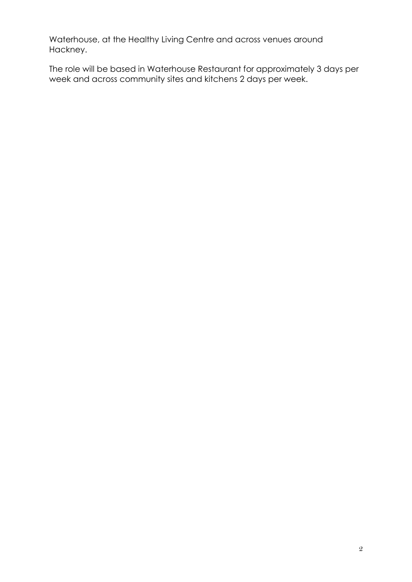Waterhouse, at the Healthy Living Centre and across venues around Hackney.

The role will be based in Waterhouse Restaurant for approximately 3 days per week and across community sites and kitchens 2 days per week.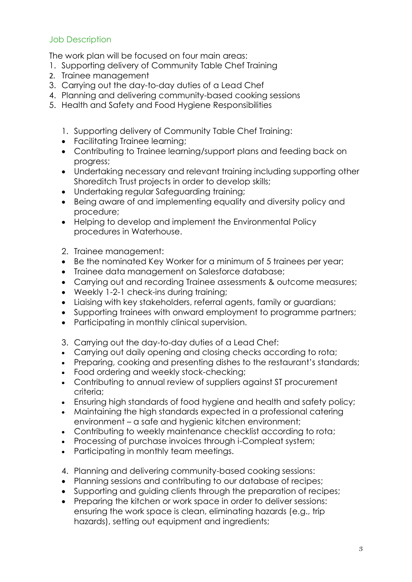## Job Description

The work plan will be focused on four main areas:

- 1. Supporting delivery of Community Table Chef Training
- 2. Trainee management
- 3. Carrying out the day-to-day duties of a Lead Chef
- 4. Planning and delivering community-based cooking sessions
- 5. Health and Safety and Food Hygiene Responsibilities
	- 1. Supporting delivery of Community Table Chef Training:
	- Facilitating Trainee learning;
	- Contributing to Trainee learning/support plans and feeding back on progress;
	- Undertaking necessary and relevant training including supporting other Shoreditch Trust projects in order to develop skills;
	- Undertaking regular Safeguarding training;
	- Being aware of and implementing equality and diversity policy and procedure;
	- Helping to develop and implement the Environmental Policy procedures in Waterhouse.
	- 2. Trainee management:
	- Be the nominated Key Worker for a minimum of 5 trainees per year;
	- Trainee data management on Salesforce database;
	- Carrying out and recording Trainee assessments & outcome measures;
	- Weekly 1-2-1 check-ins during training;
	- Liaising with key stakeholders, referral agents, family or guardians;
	- Supporting trainees with onward employment to programme partners;
	- Participating in monthly clinical supervision.
	- 3. Carrying out the day-to-day duties of a Lead Chef:
	- Carrying out daily opening and closing checks according to rota;
	- Preparing, cooking and presenting dishes to the restaurant's standards;
	- Food ordering and weekly stock-checking;
	- Contributing to annual review of suppliers against ST procurement criteria;
	- Ensuring high standards of food hygiene and health and safety policy;
	- Maintaining the high standards expected in a professional catering environment – a safe and hygienic kitchen environment;
	- Contributing to weekly maintenance checklist according to rota;
	- Processing of purchase invoices through i-Compleat system;
	- Participating in monthly team meetings.
	- 4. Planning and delivering community-based cooking sessions:
	- Planning sessions and contributing to our database of recipes;
	- Supporting and guiding clients through the preparation of recipes;
	- Preparing the kitchen or work space in order to deliver sessions: ensuring the work space is clean, eliminating hazards (e.g., trip hazards), setting out equipment and ingredients;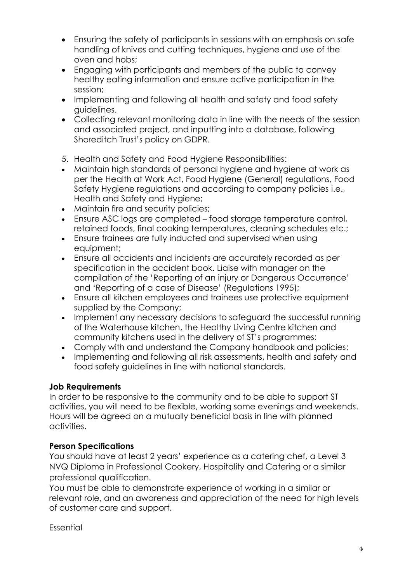- Ensuring the safety of participants in sessions with an emphasis on safe handling of knives and cutting techniques, hygiene and use of the oven and hobs;
- Engaging with participants and members of the public to convey healthy eating information and ensure active participation in the session;
- Implementing and following all health and safety and food safety guidelines.
- Collecting relevant monitoring data in line with the needs of the session and associated project, and inputting into a database, following Shoreditch Trust's policy on GDPR.
- 5. Health and Safety and Food Hygiene Responsibilities:
- Maintain high standards of personal hygiene and hygiene at work as per the Health at Work Act, Food Hygiene (General) regulations, Food Safety Hygiene regulations and according to company policies i.e., Health and Safety and Hygiene;
- Maintain fire and security policies:
- Ensure ASC logs are completed food storage temperature control, retained foods, final cooking temperatures, cleaning schedules etc.;
- Ensure trainees are fully inducted and supervised when using equipment;
- Ensure all accidents and incidents are accurately recorded as per specification in the accident book. Liaise with manager on the compilation of the 'Reporting of an injury or Dangerous Occurrence' and 'Reporting of a case of Disease' (Regulations 1995);
- Ensure all kitchen employees and trainees use protective equipment supplied by the Company;
- Implement any necessary decisions to safeguard the successful running of the Waterhouse kitchen, the Healthy Living Centre kitchen and community kitchens used in the delivery of ST's programmes;
- Comply with and understand the Company handbook and policies;
- Implementing and following all risk assessments, health and safety and food safety guidelines in line with national standards.

## **Job Requirements**

In order to be responsive to the community and to be able to support ST activities, you will need to be flexible, working some evenings and weekends. Hours will be agreed on a mutually beneficial basis in line with planned activities.

## **Person Specifications**

You should have at least 2 years' experience as a catering chef, a Level 3 NVQ Diploma in Professional Cookery, Hospitality and Catering or a similar professional qualification.

You must be able to demonstrate experience of working in a similar or relevant role, and an awareness and appreciation of the need for high levels of customer care and support.

Essential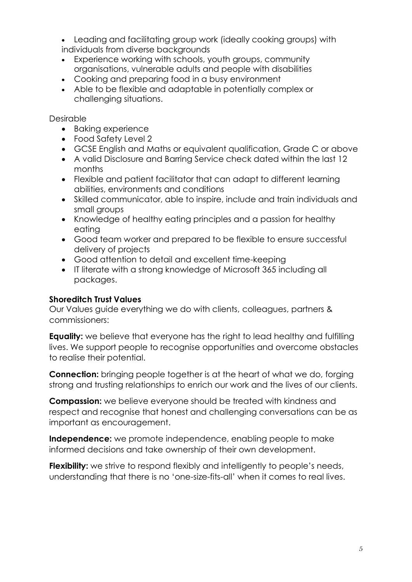• Leading and facilitating group work (ideally cooking groups) with individuals from diverse backgrounds

- Experience working with schools, youth groups, community organisations, vulnerable adults and people with disabilities
- Cooking and preparing food in a busy environment
- Able to be flexible and adaptable in potentially complex or challenging situations.

Desirable

- Baking experience
- Food Safety Level 2
- GCSE English and Maths or equivalent qualification, Grade C or above
- A valid Disclosure and Barring Service check dated within the last 12 months
- Flexible and patient facilitator that can adapt to different learning abilities, environments and conditions
- Skilled communicator, able to inspire, include and train individuals and small groups
- Knowledge of healthy eating principles and a passion for healthy eating
- Good team worker and prepared to be flexible to ensure successful delivery of projects
- Good attention to detail and excellent time-keeping
- IT literate with a strong knowledge of Microsoft 365 including all packages.

## **Shoreditch Trust Values**

Our Values guide everything we do with clients, colleagues, partners & commissioners:

**Equality:** we believe that everyone has the right to lead healthy and fulfilling lives. We support people to recognise opportunities and overcome obstacles to realise their potential.

**Connection:** bringing people together is at the heart of what we do, forging strong and trusting relationships to enrich our work and the lives of our clients.

**Compassion:** we believe everyone should be treated with kindness and respect and recognise that honest and challenging conversations can be as important as encouragement.

**Independence:** we promote independence, enabling people to make informed decisions and take ownership of their own development.

**Flexibility:** we strive to respond flexibly and intelligently to people's needs, understanding that there is no 'one-size-fits-all' when it comes to real lives.